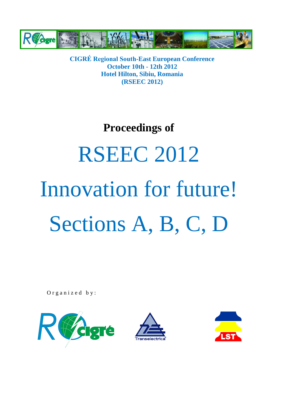

### **Proceedings of**

# RSEEC 2012 Innovation for future! Sections A, B, C, D

Organized by:





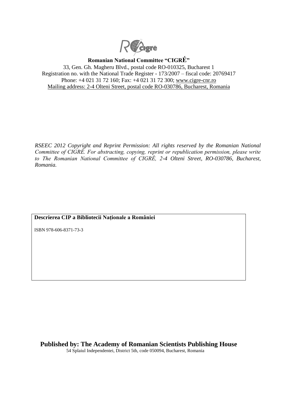

**Romanian National Committee "CIGRÉ"**

33, Gen. Gh. Magheru Blvd., postal code RO-010325, Bucharest 1 Registration no. with the National Trade Register - 173/2007 – fiscal code: 20769417 Phone: +4 021 31 72 160; Fax: +4 021 31 72 300; [www.cigre-cnr.ro](http://www.cigre-cnr.ro/) Mailing address: 2-4 Olteni Street, postal code RO-030786, Bucharest, Romania

*RSEEC 2012 Copyright and Reprint Permission: All rights reserved by the Romanian National Committee of CIGRÉ. For abstracting, copying, reprint or republication permission, please write to The Romanian National Committee of CIGRÉ, 2-4 Olteni Street, RO-030786, Bucharest, Romania.*

### **Descrierea CIP a Bibliotecii Naţionale a României**

ISBN 978-606-8371-73-3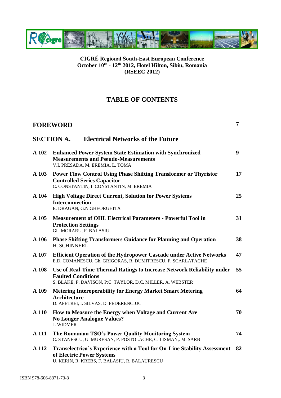

### **TABLE OF CONTENTS**

|         | <b>FOREWORD</b>                                                                                                                                                   |    |
|---------|-------------------------------------------------------------------------------------------------------------------------------------------------------------------|----|
|         | <b>SECTION A.</b><br><b>Electrical Networks of the Future</b>                                                                                                     |    |
| A 102   | <b>Enhanced Power System State Estimation with Synchronized</b><br><b>Measurements and Pseudo-Measurements</b><br>V.I. PRESADA, M. EREMIA, L. TOMA                | 9  |
| A 103   | <b>Power Flow Control Using Phase Shifting Transformer or Thyristor</b><br><b>Controlled Series Capacitor</b><br>C. CONSTANTIN, I. CONSTANTIN, M. EREMIA          | 17 |
| A 104   | <b>High Voltage Direct Current, Solution for Power Systems</b><br><b>Interconnection</b><br>E. DRAGAN, G.N.GHEORGHITA                                             | 25 |
| A 105   | Measurement of OHL Electrical Parameters - Powerful Tool in<br><b>Protection Settings</b><br>Gh. MORARU, F. BALASIU                                               | 31 |
| $A$ 106 | <b>Phase Shifting Transformers Guidance for Planning and Operation</b><br>H. SCHINNERL                                                                            | 38 |
| A 107   | <b>Efficient Operation of the Hydropower Cascade under Active Networks</b><br>E.D. COMANESCU, Gh. GRIGORAS, R. DUMITRESCU, F. SCARLATACHE                         | 47 |
| A 108   | Use of Real-Time Thermal Ratings to Increase Network Reliability under<br><b>Faulted Conditions</b><br>S. BLAKE, P. DAVISON, P:C. TAYLOR, D.C. MILLER, A. WEBSTER | 55 |
| A 109   | <b>Metering Interoperability for Energy Market Smart Metering</b><br><b>Architecture</b><br>D. APETREI, I. SILVAS, D. FEDERENCIUC                                 | 64 |
| A 110   | How to Measure the Energy when Voltage and Current Are<br><b>No Longer Analogue Values?</b><br><b>J. WIDMER</b>                                                   | 70 |
| A 111   | The Romanian TSO's Power Quality Monitoring System<br>C. STANESCU, G. MURESAN, P. POSTOLACHE, C. LISMAN,. M. SARB                                                 | 74 |
| A 112   | Transelectrica's Experience with a Tool for On-Line Stability Assessment<br>of Electric Power Systems<br>U. KERIN, R. KREBS, F. BALASIU, R. BALAURESCU            | 82 |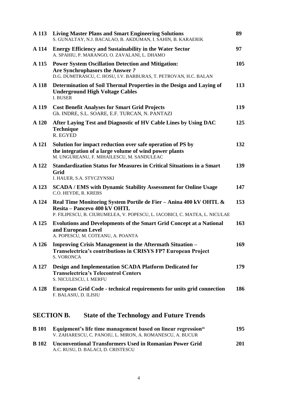| A 113        | <b>Living Master Plans and Smart Engineering Solutions</b><br>S. GUNALTAY, N.J. BACALAO, B. AKDUMAN, I. SAHIN, B. KARAERIK                                                      | 89  |
|--------------|---------------------------------------------------------------------------------------------------------------------------------------------------------------------------------|-----|
| A 114        | <b>Energy Efficiency and Sustainability in the Water Sector</b><br>A. SPAHIU, P. MARANGO, O. ZAVALANI, L. DHAMO                                                                 | 97  |
| A 115        | <b>Power System Oscillation Detection and Mitigation:</b><br><b>Are Synchrophasors the Answer?</b><br>D.G. DUMITRASCU, C. HOSU, I.V. BARBURAS, T. PETROVAN, H.C. BALAN          | 105 |
| A 118        | Determination of Soil Thermal Properties in the Design and Laying of<br><b>Underground High Voltage Cables</b><br><b>I. BUSER</b>                                               | 113 |
| A 119        | <b>Cost Benefit Analyses for Smart Grid Projects</b><br>Gh. INDRE, S.L. SOARE, E.F. TURCAN, N. PANTAZI                                                                          | 119 |
| A 120        | After Laying Test and Diagnostic of HV Cable Lines by Using DAC<br><b>Technique</b><br>R. EGYED                                                                                 | 125 |
| A 121        | Solution for impact reduction over safe operation of PS by<br>the integration of a large volume of wind power plants<br>M. UNGUREANU, F. MIHAILESCU, M. SANDULEAC               | 132 |
| A 122        | <b>Standardization Status for Measures in Critical Situations in a Smart</b><br>Grid<br>I. HAUER, S.A. STYCZYNSKI                                                               | 139 |
| A 123        | <b>SCADA / EMS with Dynamic Stability Assessment for Online Usage</b><br>C.O. HEYDE, R. KREBS                                                                                   | 147 |
| A 124        | Real Time Monitoring System Portile de Fier - Anina 400 kV OHTL &<br>Resita - Pancevo 400 kV OHTL<br>P. FILIPESCU, B. CIURUMELEA, V. POPESCU, L. IACOBICI, C. MATEA, L. NICULAE | 153 |
| A 125        | <b>Evolutions and Developments of the Smart Grid Concept at a National</b><br>and European Level<br>A. POPESCU, M. COTEANU, A. POANTA                                           | 163 |
| A 126        | Improving Crisis Management in the Aftermath Situation –<br>Transelectrica's contributions in CRISYS FP7 European Project<br><b>S. VORONCA</b>                                  | 169 |
| A 127        | Design and Implementation SCADA Platform Dedicated for<br><b>Transelectrica's Telecontrol Centers</b><br>S. NICULESCU, I. MERFU                                                 | 179 |
| A 128        | European Grid Code - technical requirements for units grid connection<br>F. BALASIU, D. ILISIU                                                                                  | 186 |
|              | <b>SECTION B.</b><br><b>State of the Technology and Future Trends</b>                                                                                                           |     |
| <b>B</b> 101 | Equipment's life time management based on linear regression"<br>V. ZAHARESCU, C. PANOIU, L. MIRON, A. ROMANESCU, A. BUCUR                                                       | 195 |
| <b>B</b> 102 | <b>Unconventional Transformers Used in Romanian Power Grid</b>                                                                                                                  | 201 |

A.C. RUSU, D. BALACI, D. CRISTESCU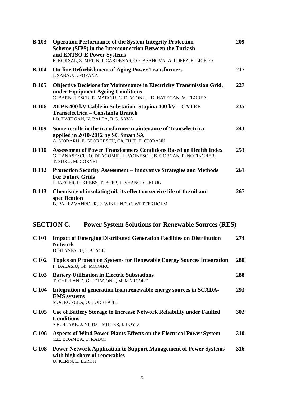| <b>B</b> 103     | <b>Operation Performance of the System Integrity Protection</b><br><b>Scheme (SIPS) in the Interconnection Between the Turkish</b><br>and ENTSO-E Power Systems<br>F. KOKSAL, S. METIN, J. CARDENAS, O. CASANOVA, A. LOPEZ, F.ILICETO | 209 |
|------------------|---------------------------------------------------------------------------------------------------------------------------------------------------------------------------------------------------------------------------------------|-----|
| <b>B</b> 104     | <b>On-line Refurbishment of Aging Power Transformers</b><br>J. SABAU, I. FOFANA                                                                                                                                                       | 217 |
| <b>B</b> 105     | <b>Objective Decisions for Maintenance in Electricity Transmission Grid,</b><br>under Equipment Ageing Conditions<br>C. BARBULESCU, R. MARCIU, C. DIACONU, I.D. HATEGAN, M. FLOREA                                                    | 227 |
| <b>B</b> 106     | XLPE 400 kV Cable in Substation Stupina 400 kV - CNTEE<br>Transelectrica – Constanta Branch<br>I.D. HATEGAN, N. BALTA, R.G. SAVA                                                                                                      | 235 |
| <b>B</b> 109     | Some results in the transformer maintenance of Transelectrica<br>applied in 2010-2012 by SC Smart SA<br>A. MORARU, F. GEORGESCU, Gh. FILIP, P. CIOBANU                                                                                | 243 |
| <b>B</b> 110     | <b>Assessment of Power Transformers Conditions Based on Health Index</b><br>G. TANASESCU, O. DRAGOMIR, L. VOINESCU, B. GORGAN, P. NOTINGHER,<br>T. SURU, M. CORNEL                                                                    | 253 |
| <b>B</b> 112     | <b>Protection Security Assessment – Innovative Strategies and Methods</b><br><b>For Future Grids</b><br>J. JAEGER, R. KREBS, T. BOPP, L. SHANG, C. BLUG                                                                               | 261 |
| <b>B</b> 113     | Chemistry of insulating oil, its effect on service life of the oil and<br>specification<br>B. PAHLAVANPOUR, P. WIKLUND, C. WETTERHOLM                                                                                                 | 267 |
|                  | <b>SECTION C.</b><br><b>Power System Solutions for Renewable Sources (RES)</b>                                                                                                                                                        |     |
| C <sub>101</sub> | <b>Impact of Emerging Distributed Generation Facilities on Distribution</b><br><b>Network</b><br>D. STANESCU, I. BLAGU                                                                                                                | 274 |
| C <sub>102</sub> | <b>Topics on Protection Systems for Renewable Energy Sources Integration</b><br>F. BALASIU, Gh. MORARU                                                                                                                                | 280 |
| C <sub>103</sub> | <b>Battery Utilization in Electric Substations</b><br>T. CHIULAN, C.Gh. DIACONU, M. MARCOLT                                                                                                                                           | 288 |
| C <sub>104</sub> | Integration of generation from renewable energy sources in SCADA-<br><b>EMS</b> systems<br>M.A. RONCEA, O. CODREANU                                                                                                                   | 293 |
| C <sub>105</sub> | Use of Battery Storage to Increase Network Reliability under Faulted<br><b>Conditions</b><br>S.R. BLAKE, J. YI, D.C. MILLER, I. LOYD                                                                                                  | 302 |
| C <sub>106</sub> | Aspects of Wind Power Plants Effects on the Electrical Power System<br>C.E. BOAMBA, C. RADOI                                                                                                                                          | 310 |
| C <sub>108</sub> | <b>Power Network Application to Support Management of Power Systems</b><br>with high share of renewables<br>U. KERIN, E. LERCH                                                                                                        | 316 |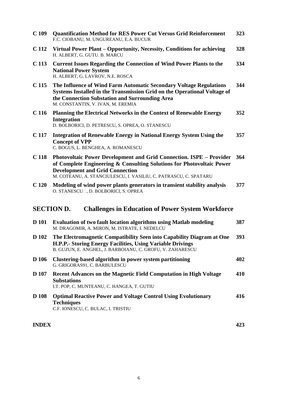| C <sub>109</sub>                                                              | <b>Quantification Method for RES Power Cut Versus Grid Reinforcement</b><br>F.C. CIOBANU, M. UNGUREANU, E.A. BUCUR                                                                                                                                         | 323 |  |  |
|-------------------------------------------------------------------------------|------------------------------------------------------------------------------------------------------------------------------------------------------------------------------------------------------------------------------------------------------------|-----|--|--|
| C 112                                                                         | Virtual Power Plant – Opportunity, Necessity, Conditions for achieving<br>H. ALBERT, G. GUTU. B. MARCU                                                                                                                                                     | 328 |  |  |
| C <sub>113</sub>                                                              | <b>Current Issues Regarding the Connection of Wind Power Plants to the</b><br><b>National Power System</b><br>H. ALBERT, G. LAVROV, N.E. ROSCA                                                                                                             | 334 |  |  |
| C <sub>115</sub>                                                              | The Influence of Wind Farm Automatic Secondary Voltage Regulations<br>Systems Installed in the Transmission Grid on the Operational Voltage of<br>the Connection Substation and Surrounding Area<br>M. CONSTANTIN, V. IVAN, M. EREMIA                      | 344 |  |  |
| C <sub>116</sub>                                                              | Planning the Electrical Networks in the Context of Renewable Energy<br><b>Integration</b><br>D. BOLBORICI, D. PETRESCU, S. OPREA, O. STANESCU                                                                                                              | 352 |  |  |
| C 117                                                                         | <b>Integration of Renewable Energy in National Energy System Using the</b><br><b>Concept of VPP</b><br>C. BOGUS, L. BENGHEA, A. ROMANESCU                                                                                                                  | 357 |  |  |
| C <sub>118</sub>                                                              | Photovoltaic Power Development and Grid Connection. ISPE – Provider<br>of Complete Engineering & Consulting Solutions for Photovoltaic Power<br><b>Development and Grid Connection</b><br>M. COTEANU, A. STANCIULESCU, I. VASILIU, C. PATRASCU, C. SPATARU | 364 |  |  |
| C <sub>120</sub>                                                              | Modeling of wind power plants generators in transient stability analysis<br>O. STANESCU <sup>[</sup> ], D. BOLBORICI, S. OPREA                                                                                                                             | 377 |  |  |
| <b>SECTION D.</b><br><b>Challenges in Education of Power System Workforce</b> |                                                                                                                                                                                                                                                            |     |  |  |
| <b>D</b> 101                                                                  | <b>Evaluation of two fault location algorithms using Matlab modeling</b><br>M. DRAGOMIR, A. MIRON, M. ISTRATE, I. NEDELCU                                                                                                                                  | 387 |  |  |
| D 102                                                                         | The Electromagnetic Compatibility Seen into Capability Diagram at One<br>H.P.P.- Storing Energy Facilities, Using Variable Drivings<br>B. GUZUN, E. ANGHEL, J. BARBOIANU, C. GROFU, V. ZAHARESCU                                                           | 393 |  |  |
| D 106                                                                         | Clustering-based algorithm in power system partitioning<br>G. GRIGORAS91, C. BARBULESCU                                                                                                                                                                    | 402 |  |  |
| <b>D</b> 107                                                                  | <b>Recent Advances on the Magnetic Field Computation in High Voltage</b><br><b>Substations</b><br>I.T. POP, C. MUNTEANU, C. HANGEA, T. GUTIU                                                                                                               | 410 |  |  |
| <b>D</b> 108                                                                  | <b>Optimal Reactive Power and Voltage Control Using Evolutionary</b><br><b>Techniques</b><br>C.F. IONESCU, C. BULAC, I. TRISTIU                                                                                                                            | 416 |  |  |

### **INDEX 423**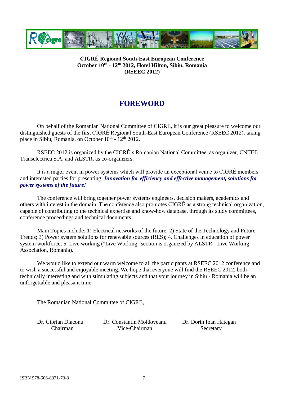

### **FOREWORD**

On behalf of the Romanian National Committee of CIGRÉ, it is our great pleasure to welcome our distinguished guests of the first CIGRÉ Regional South-East European Conference (RSEEC 2012), taking place in Sibiu, Romania, on October 10<sup>th</sup> - 12<sup>th</sup> 2012.

RSEEC 2012 is organized by the CIGRÉ's Romanian National Committee, as organizer, CNTEE Transelectrica S.A. and ALSTR, as co-organizers.

It is a major event in power systems which will provide an exceptional venue to CIGRÉ members and interested parties for presenting: *Innovation for efficiency and effective management, solutions for power systems of the future!*

The conference will bring together power systems engineers, decision makers, academics and others with interest in the domain. The conference also promotes CIGRÉ as a strong technical organization, capable of contributing to the technical expertise and know-how database, through its study committees, conference proceedings and technical documents.

Main Topics include: 1) Electrical networks of the future; 2) State of the Technology and Future Trends; 3) Power system solutions for renewable sources (RES); 4. Challenges in education of power system workforce; 5. Live working ("Live Working" section is organized by ALSTR - Live Working Association, Romania).

We would like to extend our warm welcome to all the participants at RSEEC 2012 conference and to wish a successful and enjoyable meeting. We hope that everyone will find the RSEEC 2012, both technically interesting and with stimulating subjects and that your journey in Sibiu - Romania will be an unforgettable and pleasant time.

The Romanian National Committee of CIGRÉ,

Dr. Ciprian Diaconu Dr. Constantin Moldoveanu Dr. Dorin Ioan Hategan Chairman Vice-Chairman Secretary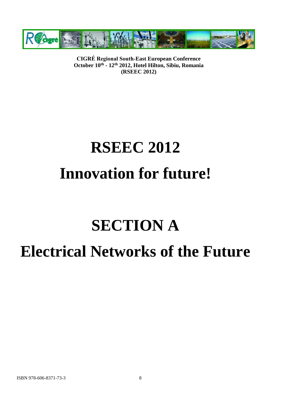

## **RSEEC 2012 Innovation for future!**

### **SECTION A Electrical Networks of the Future**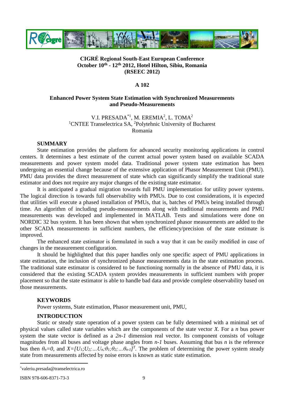

### **A 102**

### **Enhanced Power System State Estimation with Synchronized Measurements and Pseudo-Measurements**

V.I. PRESADA<sup>\*1</sup>, M. EREMIA<sup>2</sup>, L. TOMA<sup>2</sup> <sup>1</sup>[CNTEE Transelectrica](http://www.transelectrica.ro/) SA, <sup>2</sup>Polytehnic University of Bucharest Romania

#### **SUMMARY**

State estimation provides the platform for advanced security monitoring applications in control centers. It determines a best estimate of the current actual power system based on available SCADA measurements and power system model data. Traditional power system state estimation has been undergoing an essential change because of the extensive application of Phasor Measurement Unit (PMU). PMU data provides the direct measurement of state which can significantly simplify the traditional state estimator and does not require any major changes of the existing state estimator.

It is anticipated a gradual migration towards full PMU implementation for utility power systems. The logical direction is towards full observability with PMUs. Due to cost considerations, it is expected that utilities will execute a phased installation of PMUs, that is, batches of PMUs being installed through time. An algorithm of including pseudo-measurements along with traditional measurements and PMU measurements was developed and implemented in MATLAB. Tests and simulations were done on NORDIC 32 bus system. It has been shown that when synchronized phasor measurements are added to the other SCADA measurements in sufficient numbers, the efficiency/precision of the state estimate is improved.

The enhanced state estimator is formulated in such a way that it can be easily modified in case of changes in the measurement configuration.

It should be highlighted that this paper handles only one specific aspect of PMU applications in state estimation, the inclusion of synchronized phasor measurements data in the state estimation process. The traditional state estimator is considered to be functioning normally in the absence of PMU data, it is considered that the existing SCADA system provides measurements in sufficient numbers with proper placement so that the state estimator is able to handle bad data and provide complete observability based on those measurements.

### **KEYWORDS**

Power systems, State estimation, Phasor measurement unit, PMU,

### **INTRODUCTION**

Static or steady state operation of a power system can be fully determined with a minimal set of physical values called state variables which are the components of the state vector *X.* For a *n* bus power system the state vector is defined as a 2*n-1* dimension real vector. Its component consists of voltage magnitudes from all buses and voltage phase angles from *n-1* buses. Assuming that bus *n* is the reference bus then  $\theta_n = 0$ , and  $X = [U_1; U_2; \dots U_n; \theta_1; \theta_2; \dots; \theta_{n-1}]^T$ . The problem of determining the power system steady state from measurements affected by noise errors is known as static state estimation.

 $\overline{a}$ 

<sup>\*</sup>valeriu.presada@transelectrica.ro